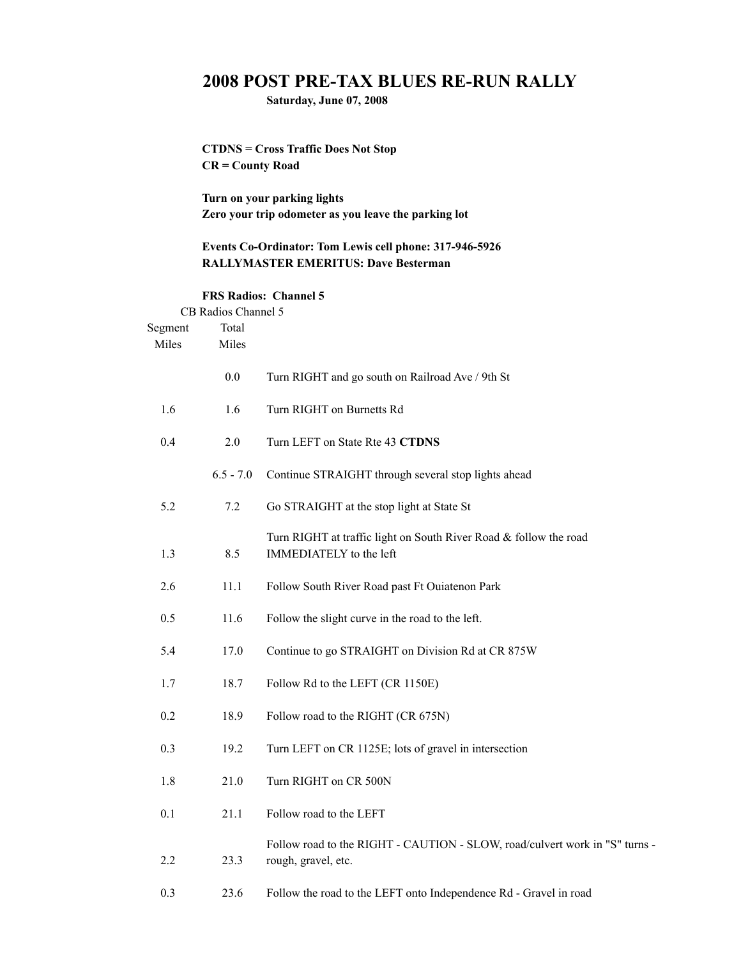## **2008 POST PRE-TAX BLUES RE-RUN RALLY**

**Saturday, June 07, 2008**

**CTDNS = Cross Traffic Does Not Stop CR = County Road**

**Turn on your parking lights Zero your trip odometer as you leave the parking lot**

## **Events Co-Ordinator: Tom Lewis cell phone: 317-946-5926 RALLYMASTER EMERITUS: Dave Besterman**

## **FRS Radios: Channel 5**

|                  | CB Radios Channel 5 |                                                                                                    |
|------------------|---------------------|----------------------------------------------------------------------------------------------------|
| Segment<br>Miles | Total<br>Miles      |                                                                                                    |
|                  |                     |                                                                                                    |
|                  | 0.0                 | Turn RIGHT and go south on Railroad Ave / 9th St                                                   |
| 1.6              | 1.6                 | Turn RIGHT on Burnetts Rd                                                                          |
| 0.4              | 2.0                 | Turn LEFT on State Rte 43 CTDNS                                                                    |
|                  | $6.5 - 7.0$         | Continue STRAIGHT through several stop lights ahead                                                |
| 5.2              | 7.2                 | Go STRAIGHT at the stop light at State St                                                          |
| 1.3              | 8.5                 | Turn RIGHT at traffic light on South River Road & follow the road<br>IMMEDIATELY to the left       |
| 2.6              | 11.1                | Follow South River Road past Ft Ouiatenon Park                                                     |
| 0.5              | 11.6                | Follow the slight curve in the road to the left.                                                   |
| 5.4              | 17.0                | Continue to go STRAIGHT on Division Rd at CR 875W                                                  |
| 1.7              | 18.7                | Follow Rd to the LEFT (CR 1150E)                                                                   |
| 0.2              | 18.9                | Follow road to the RIGHT (CR 675N)                                                                 |
| 0.3              | 19.2                | Turn LEFT on CR 1125E; lots of gravel in intersection                                              |
| 1.8              | 21.0                | Turn RIGHT on CR 500N                                                                              |
| 0.1              | 21.1                | Follow road to the LEFT                                                                            |
| 2.2              | 23.3                | Follow road to the RIGHT - CAUTION - SLOW, road/culvert work in "S" turns -<br>rough, gravel, etc. |
| 0.3              | 23.6                | Follow the road to the LEFT onto Independence Rd - Gravel in road                                  |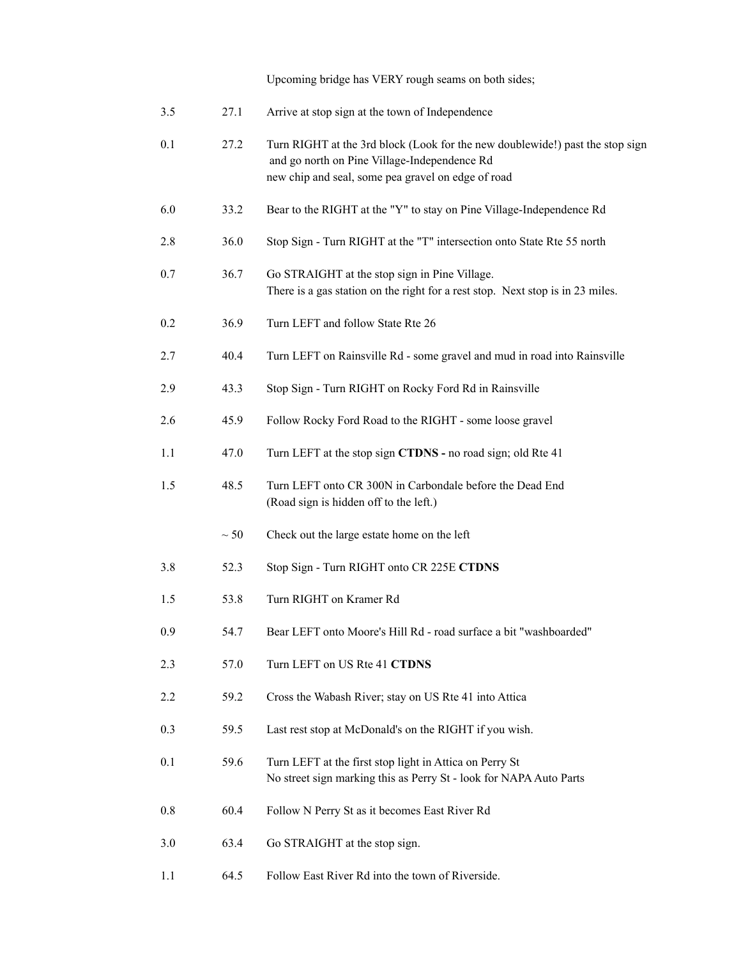Upcoming bridge has VERY rough seams on both sides;

| 3.5 | 27.1      | Arrive at stop sign at the town of Independence                                                                                                                                     |
|-----|-----------|-------------------------------------------------------------------------------------------------------------------------------------------------------------------------------------|
| 0.1 | 27.2      | Turn RIGHT at the 3rd block (Look for the new doublewide!) past the stop sign<br>and go north on Pine Village-Independence Rd<br>new chip and seal, some pea gravel on edge of road |
| 6.0 | 33.2      | Bear to the RIGHT at the "Y" to stay on Pine Village-Independence Rd                                                                                                                |
| 2.8 | 36.0      | Stop Sign - Turn RIGHT at the "T" intersection onto State Rte 55 north                                                                                                              |
| 0.7 | 36.7      | Go STRAIGHT at the stop sign in Pine Village.<br>There is a gas station on the right for a rest stop. Next stop is in 23 miles.                                                     |
| 0.2 | 36.9      | Turn LEFT and follow State Rte 26                                                                                                                                                   |
| 2.7 | 40.4      | Turn LEFT on Rainsville Rd - some gravel and mud in road into Rainsville                                                                                                            |
| 2.9 | 43.3      | Stop Sign - Turn RIGHT on Rocky Ford Rd in Rainsville                                                                                                                               |
| 2.6 | 45.9      | Follow Rocky Ford Road to the RIGHT - some loose gravel                                                                                                                             |
| 1.1 | 47.0      | Turn LEFT at the stop sign CTDNS - no road sign; old Rte 41                                                                                                                         |
| 1.5 | 48.5      | Turn LEFT onto CR 300N in Carbondale before the Dead End<br>(Road sign is hidden off to the left.)                                                                                  |
|     | $\sim 50$ | Check out the large estate home on the left                                                                                                                                         |
| 3.8 | 52.3      | Stop Sign - Turn RIGHT onto CR 225E CTDNS                                                                                                                                           |
| 1.5 | 53.8      | Turn RIGHT on Kramer Rd                                                                                                                                                             |
| 0.9 | 54.7      | Bear LEFT onto Moore's Hill Rd - road surface a bit "washboarded"                                                                                                                   |
| 2.3 | 57.0      | Turn LEFT on US Rte 41 CTDNS                                                                                                                                                        |
| 2.2 | 59.2      | Cross the Wabash River; stay on US Rte 41 into Attica                                                                                                                               |
| 0.3 | 59.5      | Last rest stop at McDonald's on the RIGHT if you wish.                                                                                                                              |
| 0.1 | 59.6      | Turn LEFT at the first stop light in Attica on Perry St<br>No street sign marking this as Perry St - look for NAPA Auto Parts                                                       |
| 0.8 | 60.4      | Follow N Perry St as it becomes East River Rd                                                                                                                                       |
| 3.0 | 63.4      | Go STRAIGHT at the stop sign.                                                                                                                                                       |
| 1.1 | 64.5      | Follow East River Rd into the town of Riverside.                                                                                                                                    |